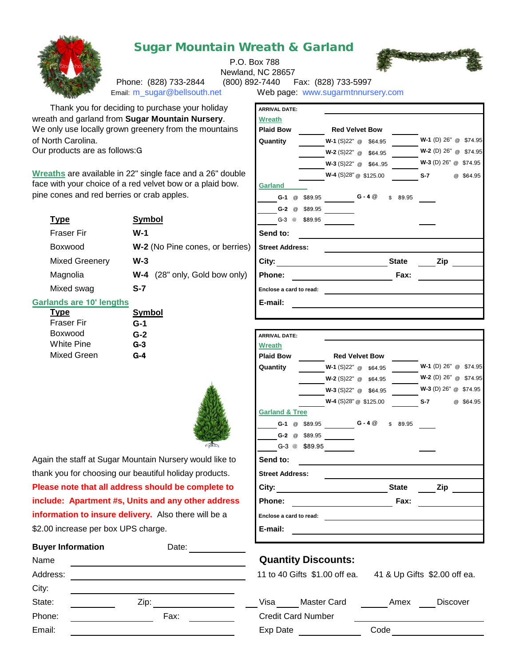

## Sugar Mountain Wreath & Garland

P.O. Box 788



Phone: (828) 733-2844 (800) 892-7440 Fax: (828) 733-5997<br>Email: m sugar@bellsouth.net Web page: www.sugarmtnnurs

Newland, NC 28657

Web page: www.sugarmtnnursery.com

|                                       | Thank you for deciding to purchase your holiday<br>th and garland from Sugar Mountain Nursery.<br>only use locally grown greenery from the mountains | <b>ARRIVAL DATE:</b><br><b>Wreath</b><br><b>Plaid Bow</b> | <b>Red Velvet Bow</b>                             |              |                         |  |
|---------------------------------------|------------------------------------------------------------------------------------------------------------------------------------------------------|-----------------------------------------------------------|---------------------------------------------------|--------------|-------------------------|--|
| orth Carolina.                        |                                                                                                                                                      | Quantity                                                  | W-1 (S)22" @ \$64.95                              |              | W-1 (D) 26" @ \$74.95   |  |
| products are as follows:G             |                                                                                                                                                      |                                                           | W-2 (S)22" @ \$64.95                              |              | W-2 (D) 26" @ \$74.95   |  |
|                                       |                                                                                                                                                      |                                                           | W-3 (S)22" @ \$6495                               |              | W-3 (D) 26" @ \$74.95   |  |
|                                       | aths are available in 22" single face and a 26" double                                                                                               |                                                           | W-4 (S)28" @ \$125.00                             |              | $S-7$<br>@ \$64.95      |  |
|                                       | with your choice of a red velvet bow or a plaid bow.                                                                                                 | <b>Garland</b>                                            |                                                   |              |                         |  |
| cones and red berries or crab apples. |                                                                                                                                                      |                                                           | <b>G-1</b> @ $$89.95$ <b>G-4</b> @                | \$89.95      |                         |  |
|                                       |                                                                                                                                                      |                                                           | G-2 @ \$89.95                                     |              |                         |  |
| <u>Type</u>                           | <b>Symbol</b>                                                                                                                                        | G-3 @ \$89.95                                             |                                                   |              |                         |  |
| Fraser Fir                            | $W-1$                                                                                                                                                | Send to:                                                  |                                                   |              |                         |  |
| Boxwood                               | W-2 (No Pine cones, or berries)                                                                                                                      | <b>Street Address:</b>                                    |                                                   |              |                         |  |
| Mixed Greenery                        | $W-3$                                                                                                                                                | City:                                                     | <u>__________________________________</u> State   |              | <b>Zip</b>              |  |
| Magnolia                              | W-4 (28" only, Gold bow only)                                                                                                                        | Phone:                                                    |                                                   | Fax:         |                         |  |
| Mixed swag                            | $S-7$                                                                                                                                                |                                                           | Enclose a card to read:                           |              |                         |  |
| ands are 10' lengths                  |                                                                                                                                                      | E-mail:                                                   |                                                   |              |                         |  |
| <b>Type</b>                           | <b>Symbol</b>                                                                                                                                        |                                                           |                                                   |              |                         |  |
| Fraser Fir                            | G-1                                                                                                                                                  |                                                           |                                                   |              |                         |  |
| Boxwood<br>White Pine                 | $G-2$<br>$G-3$                                                                                                                                       | <b>ARRIVAL DATE:</b>                                      |                                                   |              |                         |  |
| Mixed Green                           | $G-4$                                                                                                                                                | <b>Wreath</b><br><b>Plaid Bow</b>                         | <b>Red Velvet Bow</b>                             |              |                         |  |
|                                       |                                                                                                                                                      | Quantity                                                  | $W-1$ (S)22" $@$ \$64.95                          |              | W-1 (D) 26" @ \$74.95   |  |
|                                       |                                                                                                                                                      |                                                           | $W-2$ (S)22" @ \$64.95                            |              | $W-2$ (D) 26" @ \$74.95 |  |
|                                       |                                                                                                                                                      |                                                           | W-3 (S)22" @ \$64.95                              |              | $W-3$ (D) 26" @ \$74.95 |  |
|                                       |                                                                                                                                                      |                                                           | W-4 (S)28" @ \$125.00                             |              | $S-7$<br>@ \$64.95      |  |
|                                       |                                                                                                                                                      | <b>Garland &amp; Tree</b>                                 |                                                   |              |                         |  |
|                                       |                                                                                                                                                      |                                                           | <b>G-1</b> @ \$89.95 <b>G-4</b> @                 | \$89.95      |                         |  |
|                                       |                                                                                                                                                      |                                                           | G-2 @ \$89.95                                     |              |                         |  |
|                                       |                                                                                                                                                      |                                                           | G-3 @ \$89.95                                     |              |                         |  |
|                                       | n the staff at Sugar Mountain Nursery would like to                                                                                                  | Send to:                                                  |                                                   |              |                         |  |
|                                       | x you for choosing our beautiful holiday products.                                                                                                   | <b>Street Address:</b>                                    |                                                   |              |                         |  |
|                                       | se note that all address should be complete to                                                                                                       | Citv:                                                     |                                                   | <b>State</b> | Zip                     |  |
|                                       | <b>Ide: Apartment #s, Units and any other address</b>                                                                                                | Phone:                                                    | <u> 1989 - Johann Barbara, martxa alemaniar a</u> | Fax:         |                         |  |
|                                       | mation to insure delivery. Also there will be a                                                                                                      | Enclose a card to read:                                   |                                                   |              |                         |  |
| 0 increase per box UPS charge.        |                                                                                                                                                      | E-mail:                                                   |                                                   |              |                         |  |
|                                       |                                                                                                                                                      |                                                           |                                                   |              |                         |  |

|  | <b>Quantity Discounts:</b> |
|--|----------------------------|
|--|----------------------------|

| Master Card<br>Visa | Amex | <b>Discover</b> |
|---------------------|------|-----------------|
| Credit Card Number  |      |                 |
| Exp Date            | Code |                 |

Thank you for deciding to purchase your holiday wreath and garland from **Sugar Mountain Nursery**. We only use locally grown greenery from the mountains of North Carolina.

Our products are as follows:G

**Wreaths** are available in 22" single face and a 26" doubl face with your choice of a red velvet bow or a plaid bow. pine cones and red berries or crab apples.

|                       |                                                 | G-2 @<br>ა89.95                     |              |
|-----------------------|-------------------------------------------------|-------------------------------------|--------------|
| <b>Type</b>           | <b>Symbol</b>                                   | $G-3$<br>\$89.95<br>$^{\copyright}$ |              |
| <b>Fraser Fir</b>     | $W-1$                                           | Send to:                            |              |
| Boxwood               | W-2 (No Pine cones, or berries) Street Address: |                                     |              |
| <b>Mixed Greenery</b> | $W-3$                                           | City:                               | <b>State</b> |
| Magnolia              | (28" only, Gold bow only)<br>W-4                | Phone:                              | Fax:         |
| Mixed swag            | S-7                                             | Enclose a card to read:             |              |
|                       |                                                 |                                     |              |

## **Garlands are 10' lengths**

| <b>Type</b>       | Symbol |
|-------------------|--------|
| <b>Fraser Fir</b> | G-1    |
| Boxwood           | $G-2$  |
| <b>White Pine</b> | $G-3$  |
| Mixed Green       | $G-4$  |



Again the staff at Sugar Mountain Nursery would like to thank you for choosing our beautiful holiday products. **Please note that all address should be complete to include: Apartment #s, Units and any other address information to insure delivery.** Also there will be a \$2.00 increase per box UPS charge.

| <b>Buyer Information</b> | Date: |          |                               |                             |                 |
|--------------------------|-------|----------|-------------------------------|-----------------------------|-----------------|
| Name                     |       |          | <b>Quantity Discounts:</b>    |                             |                 |
| Address:                 |       |          | 11 to 40 Gifts \$1.00 off ea. | 41 & Up Gifts \$2.00 off ea |                 |
| City:                    |       |          |                               |                             |                 |
| State:                   | Zip:  | Visa     | Master Card                   | Amex                        | <b>Discover</b> |
| Phone:                   | Fax:  |          | <b>Credit Card Number</b>     |                             |                 |
| Email:                   |       | Exp Date |                               | Code                        |                 |